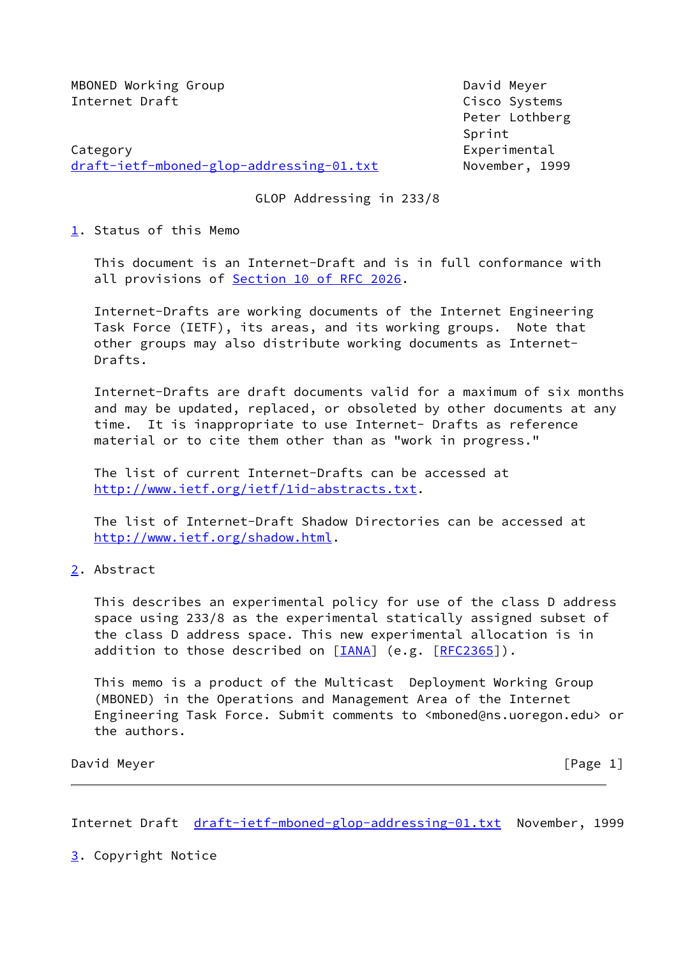MBONED Working Group David Meyer Internet Draft Cisco Systems

Category **Experimental** [draft-ietf-mboned-glop-addressing-01.txt](https://datatracker.ietf.org/doc/pdf/draft-ietf-mboned-glop-addressing-01.txt) November, 1999

 Peter Lothberg ing the contract of the contract of the contract of the Sprint Sprint

GLOP Addressing in 233/8

<span id="page-0-0"></span>[1](#page-0-0). Status of this Memo

 This document is an Internet-Draft and is in full conformance with all provisions of Section [10 of RFC 2026](https://datatracker.ietf.org/doc/pdf/rfc2026#section-10).

 Internet-Drafts are working documents of the Internet Engineering Task Force (IETF), its areas, and its working groups. Note that other groups may also distribute working documents as Internet- Drafts.

 Internet-Drafts are draft documents valid for a maximum of six months and may be updated, replaced, or obsoleted by other documents at any time. It is inappropriate to use Internet- Drafts as reference material or to cite them other than as "work in progress."

 The list of current Internet-Drafts can be accessed at <http://www.ietf.org/ietf/1id-abstracts.txt>.

 The list of Internet-Draft Shadow Directories can be accessed at <http://www.ietf.org/shadow.html>.

<span id="page-0-1"></span>[2](#page-0-1). Abstract

 This describes an experimental policy for use of the class D address space using 233/8 as the experimental statically assigned subset of the class D address space. This new experimental allocation is in addition to those described on  $[IANA]$  $[IANA]$  (e.g.  $[RFC2365])$  $[RFC2365])$ .

 This memo is a product of the Multicast Deployment Working Group (MBONED) in the Operations and Management Area of the Internet Engineering Task Force. Submit comments to <mboned@ns.uoregon.edu> or the authors.

David Meyer [Page 1]

Internet Draft [draft-ietf-mboned-glop-addressing-01.txt](https://datatracker.ietf.org/doc/pdf/draft-ietf-mboned-glop-addressing-01.txt) November, 1999

<span id="page-0-2"></span>[3](#page-0-2). Copyright Notice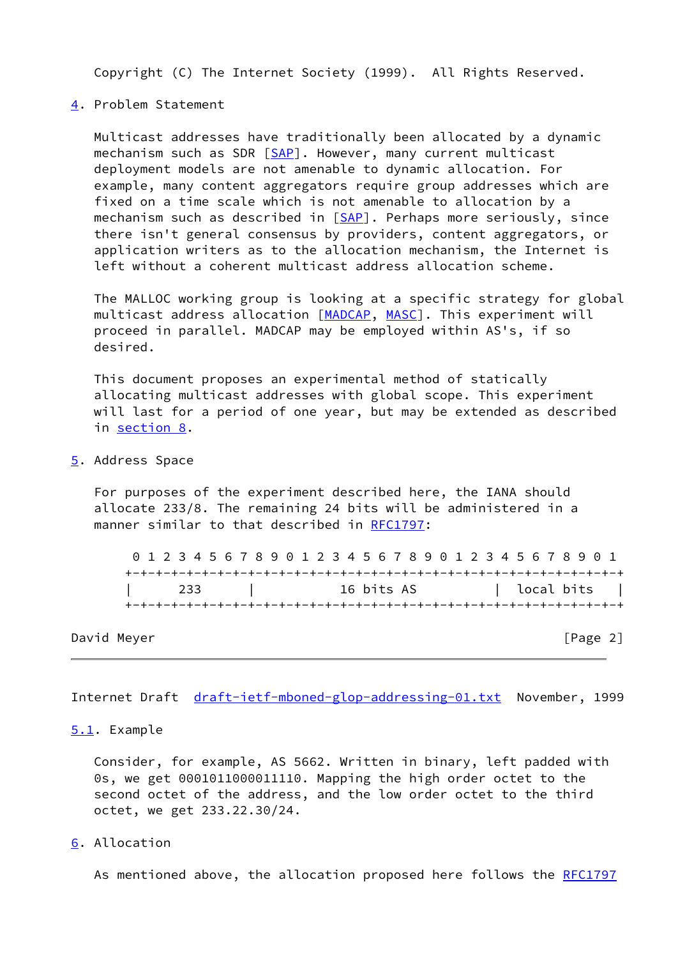Copyright (C) The Internet Society (1999). All Rights Reserved.

## <span id="page-1-0"></span>[4](#page-1-0). Problem Statement

 Multicast addresses have traditionally been allocated by a dynamic mechanism such as SDR [[SAP](#page-3-1)]. However, many current multicast deployment models are not amenable to dynamic allocation. For example, many content aggregators require group addresses which are fixed on a time scale which is not amenable to allocation by a mechanism such as described in [\[SAP](#page-3-1)]. Perhaps more seriously, since there isn't general consensus by providers, content aggregators, or application writers as to the allocation mechanism, the Internet is left without a coherent multicast address allocation scheme.

 The MALLOC working group is looking at a specific strategy for global multicast address allocation [\[MADCAP](#page-3-2), [MASC](#page-3-3)]. This experiment will proceed in parallel. MADCAP may be employed within AS's, if so desired.

 This document proposes an experimental method of statically allocating multicast addresses with global scope. This experiment will last for a period of one year, but may be extended as described in [section 8.](#page-2-0)

<span id="page-1-1"></span>[5](#page-1-1). Address Space

 For purposes of the experiment described here, the IANA should allocate 233/8. The remaining 24 bits will be administered in a manner similar to that described in [RFC1797:](https://datatracker.ietf.org/doc/pdf/rfc1797)

 0 1 2 3 4 5 6 7 8 9 0 1 2 3 4 5 6 7 8 9 0 1 2 3 4 5 6 7 8 9 0 1 +-+-+-+-+-+-+-+-+-+-+-+-+-+-+-+-+-+-+-+-+-+-+-+-+-+-+-+-+-+-+-+-+ | 233 | 16 bits AS | local bits | +-+-+-+-+-+-+-+-+-+-+-+-+-+-+-+-+-+-+-+-+-+-+-+-+-+-+-+-+-+-+-+-+

David Meyer [Page 2]

Internet Draft [draft-ietf-mboned-glop-addressing-01.txt](https://datatracker.ietf.org/doc/pdf/draft-ietf-mboned-glop-addressing-01.txt) November, 1999

<span id="page-1-2"></span>[5.1](#page-1-2). Example

 Consider, for example, AS 5662. Written in binary, left padded with 0s, we get 0001011000011110. Mapping the high order octet to the second octet of the address, and the low order octet to the third octet, we get 233.22.30/24.

<span id="page-1-3"></span>[6](#page-1-3). Allocation

As mentioned above, the allocation proposed here follows the [RFC1797](https://datatracker.ietf.org/doc/pdf/rfc1797)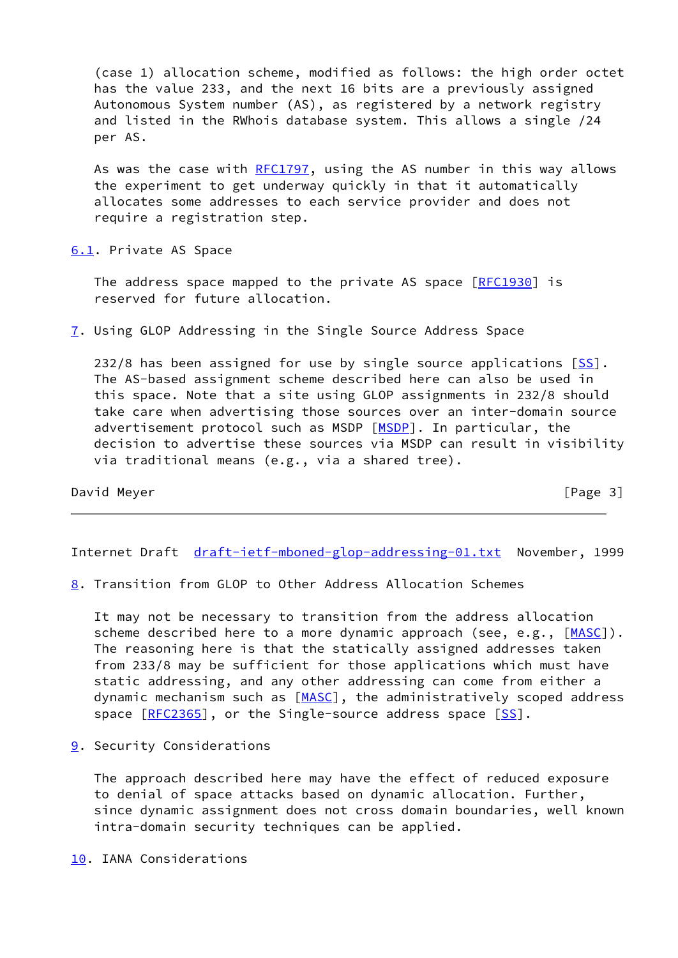(case 1) allocation scheme, modified as follows: the high order octet has the value 233, and the next 16 bits are a previously assigned Autonomous System number (AS), as registered by a network registry and listed in the RWhois database system. This allows a single /24 per AS.

As was the case with [RFC1797](https://datatracker.ietf.org/doc/pdf/rfc1797), using the AS number in this way allows the experiment to get underway quickly in that it automatically allocates some addresses to each service provider and does not require a registration step.

<span id="page-2-1"></span>[6.1](#page-2-1). Private AS Space

The address space mapped to the private AS space [\[RFC1930](https://datatracker.ietf.org/doc/pdf/rfc1930)] is reserved for future allocation.

<span id="page-2-2"></span>[7](#page-2-2). Using GLOP Addressing in the Single Source Address Space

 232/8 has been assigned for use by single source applications [[SS\]](#page-3-4). The AS-based assignment scheme described here can also be used in this space. Note that a site using GLOP assignments in 232/8 should take care when advertising those sources over an inter-domain source advertisement protocol such as MSDP [\[MSDP](#page-3-5)]. In particular, the decision to advertise these sources via MSDP can result in visibility via traditional means (e.g., via a shared tree).

David Meyer [Page 3]

Internet Draft [draft-ietf-mboned-glop-addressing-01.txt](https://datatracker.ietf.org/doc/pdf/draft-ietf-mboned-glop-addressing-01.txt) November, 1999

<span id="page-2-0"></span>[8](#page-2-0). Transition from GLOP to Other Address Allocation Schemes

 It may not be necessary to transition from the address allocation scheme described here to a more dynamic approach (see, e.g., [\[MASC](#page-3-3)]). The reasoning here is that the statically assigned addresses taken from 233/8 may be sufficient for those applications which must have static addressing, and any other addressing can come from either a dynamic mechanism such as [[MASC\]](#page-3-3), the administratively scoped address space [[RFC2365](https://datatracker.ietf.org/doc/pdf/rfc2365)], or the Single-source address space [\[SS\]](#page-3-4).

<span id="page-2-3"></span>[9](#page-2-3). Security Considerations

 The approach described here may have the effect of reduced exposure to denial of space attacks based on dynamic allocation. Further, since dynamic assignment does not cross domain boundaries, well known intra-domain security techniques can be applied.

<span id="page-2-4"></span>[10.](#page-2-4) IANA Considerations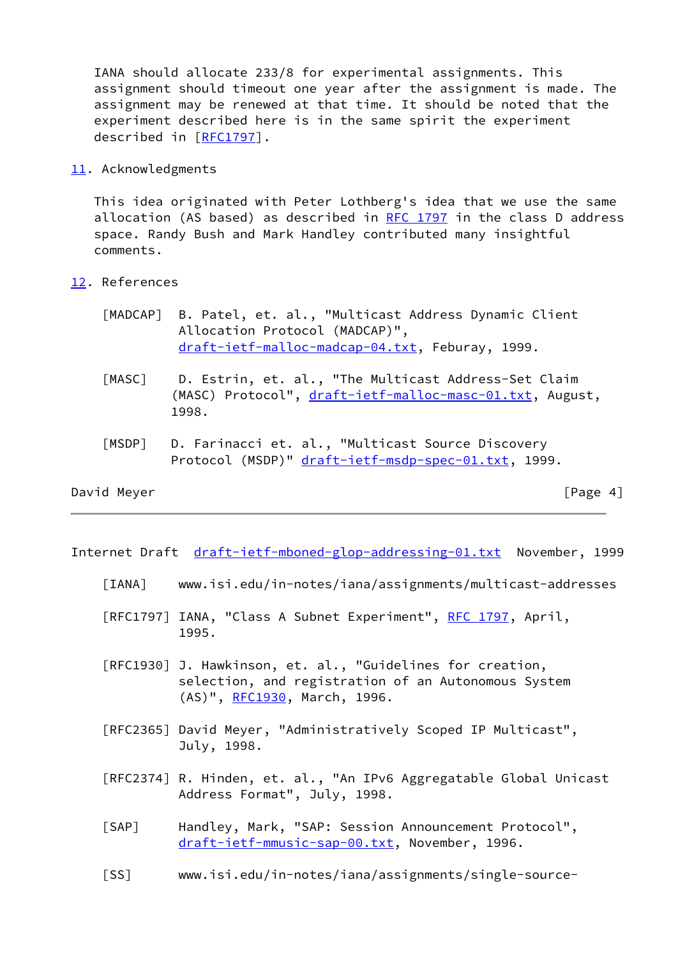IANA should allocate 233/8 for experimental assignments. This assignment should timeout one year after the assignment is made. The assignment may be renewed at that time. It should be noted that the experiment described here is in the same spirit the experiment described in [\[RFC1797](https://datatracker.ietf.org/doc/pdf/rfc1797)].

<span id="page-3-6"></span>[11.](#page-3-6) Acknowledgments

 This idea originated with Peter Lothberg's idea that we use the same allocation (AS based) as described in RFC  $1797$  in the class D address space. Randy Bush and Mark Handley contributed many insightful comments.

- <span id="page-3-7"></span><span id="page-3-3"></span><span id="page-3-2"></span>[12.](#page-3-7) References
	- [MADCAP] B. Patel, et. al., "Multicast Address Dynamic Client Allocation Protocol (MADCAP)", [draft-ietf-malloc-madcap-04.txt](https://datatracker.ietf.org/doc/pdf/draft-ietf-malloc-madcap-04.txt), Feburay, 1999.
	- [MASC] D. Estrin, et. al., "The Multicast Address-Set Claim (MASC) Protocol", [draft-ietf-malloc-masc-01.txt,](https://datatracker.ietf.org/doc/pdf/draft-ietf-malloc-masc-01.txt) August, 1998.
	- [MSDP] D. Farinacci et. al., "Multicast Source Discovery Protocol (MSDP)" [draft-ietf-msdp-spec-01.txt](https://datatracker.ietf.org/doc/pdf/draft-ietf-msdp-spec-01.txt), 1999.

## <span id="page-3-5"></span>David Meyer [Page 4]

Internet Draft [draft-ietf-mboned-glop-addressing-01.txt](https://datatracker.ietf.org/doc/pdf/draft-ietf-mboned-glop-addressing-01.txt) November, 1999

- <span id="page-3-0"></span>[IANA] www.isi.edu/in-notes/iana/assignments/multicast-addresses
- [RFC1797] IANA, "Class A Subnet Experiment", [RFC 1797](https://datatracker.ietf.org/doc/pdf/rfc1797), April, 1995.
- [RFC1930] J. Hawkinson, et. al., "Guidelines for creation, selection, and registration of an Autonomous System (AS)", [RFC1930](https://datatracker.ietf.org/doc/pdf/rfc1930), March, 1996.
- [RFC2365] David Meyer, "Administratively Scoped IP Multicast", July, 1998.
- [RFC2374] R. Hinden, et. al., "An IPv6 Aggregatable Global Unicast Address Format", July, 1998.
- <span id="page-3-1"></span> [SAP] Handley, Mark, "SAP: Session Announcement Protocol", [draft-ietf-mmusic-sap-00.txt,](https://datatracker.ietf.org/doc/pdf/draft-ietf-mmusic-sap-00.txt) November, 1996.
- <span id="page-3-4"></span>[SS] www.isi.edu/in-notes/iana/assignments/single-source-